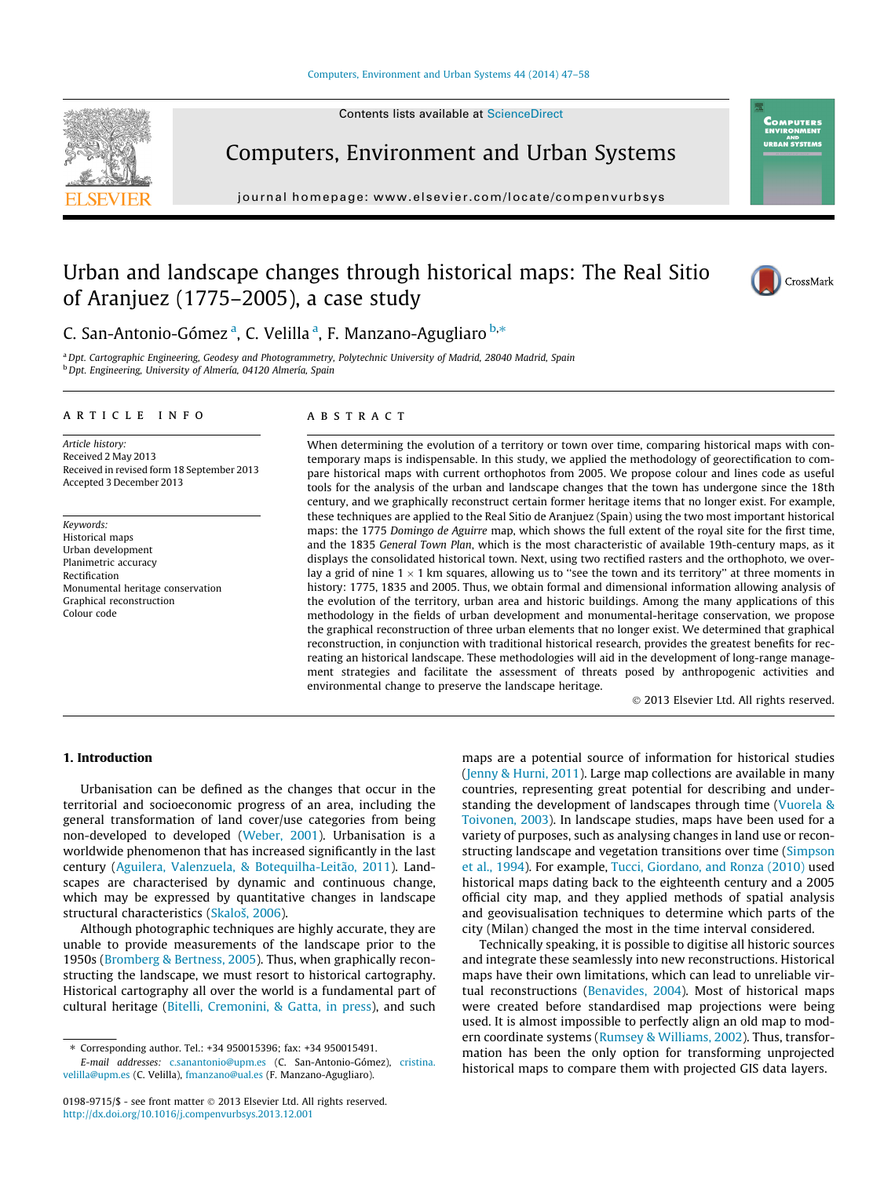Contents lists available at [ScienceDirect](http://www.sciencedirect.com/science/journal/01989715)



Computers, Environment and Urban Systems

journal homepage: [www.elsevier.com/locate/compenvurbsys](http://www.elsevier.com/locate/compenvurbsys)

## Urban and landscape changes through historical maps: The Real Sitio of Aranjuez (1775–2005), a case study



**OMPUTERS** RAN SYSTEM!

C. San-Antonio-Gómez<sup>a</sup>, C. Velilla<sup>a</sup>, F. Manzano-Agugliaro <sup>b,\*</sup>

a Dpt. Cartographic Engineering, Geodesy and Photogrammetry, Polytechnic University of Madrid, 28040 Madrid, Spain b Dpt. Engineering, University of Almería, 04120 Almería, Spain

#### article info

Article history: Received 2 May 2013 Received in revised form 18 September 2013 Accepted 3 December 2013

Keywords: Historical maps Urban development Planimetric accuracy Rectification Monumental heritage conservation Graphical reconstruction Colour code

### ABSTRACT

When determining the evolution of a territory or town over time, comparing historical maps with contemporary maps is indispensable. In this study, we applied the methodology of georectification to compare historical maps with current orthophotos from 2005. We propose colour and lines code as useful tools for the analysis of the urban and landscape changes that the town has undergone since the 18th century, and we graphically reconstruct certain former heritage items that no longer exist. For example, these techniques are applied to the Real Sitio de Aranjuez (Spain) using the two most important historical maps: the 1775 Domingo de Aguirre map, which shows the full extent of the royal site for the first time, and the 1835 General Town Plan, which is the most characteristic of available 19th-century maps, as it displays the consolidated historical town. Next, using two rectified rasters and the orthophoto, we overlay a grid of nine  $1 \times 1$  km squares, allowing us to "see the town and its territory" at three moments in history: 1775, 1835 and 2005. Thus, we obtain formal and dimensional information allowing analysis of the evolution of the territory, urban area and historic buildings. Among the many applications of this methodology in the fields of urban development and monumental-heritage conservation, we propose the graphical reconstruction of three urban elements that no longer exist. We determined that graphical reconstruction, in conjunction with traditional historical research, provides the greatest benefits for recreating an historical landscape. These methodologies will aid in the development of long-range management strategies and facilitate the assessment of threats posed by anthropogenic activities and environmental change to preserve the landscape heritage.

- 2013 Elsevier Ltd. All rights reserved.

## 1. Introduction

Urbanisation can be defined as the changes that occur in the territorial and socioeconomic progress of an area, including the general transformation of land cover/use categories from being non-developed to developed ([Weber, 2001\)](#page--1-0). Urbanisation is a worldwide phenomenon that has increased significantly in the last century [\(Aguilera, Valenzuela, & Botequilha-Leitão, 2011](#page--1-0)). Landscapes are characterised by dynamic and continuous change, which may be expressed by quantitative changes in landscape structural characteristics [\(Skaloš, 2006](#page--1-0)).

Although photographic techniques are highly accurate, they are unable to provide measurements of the landscape prior to the 1950s [\(Bromberg & Bertness, 2005\)](#page--1-0). Thus, when graphically reconstructing the landscape, we must resort to historical cartography. Historical cartography all over the world is a fundamental part of cultural heritage ([Bitelli, Cremonini, & Gatta, in press](#page--1-0)), and such

maps are a potential source of information for historical studies ([Jenny & Hurni, 2011\)](#page--1-0). Large map collections are available in many countries, representing great potential for describing and understanding the development of landscapes through time ([Vuorela &](#page--1-0) [Toivonen, 2003\)](#page--1-0). In landscape studies, maps have been used for a variety of purposes, such as analysing changes in land use or reconstructing landscape and vegetation transitions over time [\(Simpson](#page--1-0) [et al., 1994](#page--1-0)). For example, [Tucci, Giordano, and Ronza \(2010\)](#page--1-0) used historical maps dating back to the eighteenth century and a 2005 official city map, and they applied methods of spatial analysis and geovisualisation techniques to determine which parts of the city (Milan) changed the most in the time interval considered.

Technically speaking, it is possible to digitise all historic sources and integrate these seamlessly into new reconstructions. Historical maps have their own limitations, which can lead to unreliable virtual reconstructions [\(Benavides, 2004](#page--1-0)). Most of historical maps were created before standardised map projections were being used. It is almost impossible to perfectly align an old map to modern coordinate systems ([Rumsey & Williams, 2002](#page--1-0)). Thus, transformation has been the only option for transforming unprojected historical maps to compare them with projected GIS data layers.

<sup>⇑</sup> Corresponding author. Tel.: +34 950015396; fax: +34 950015491.

E-mail addresses: [c.sanantonio@upm.es](mailto:c.sanantonio@upm.es) (C. San-Antonio-Gómez), [cristina.](mailto:cristina.velilla@upm.es) [velilla@upm.es](mailto:cristina.velilla@upm.es) (C. Velilla), [fmanzano@ual.es](mailto:fmanzano@ual.es) (F. Manzano-Agugliaro).

<sup>0198-9715/\$ -</sup> see front matter © 2013 Elsevier Ltd. All rights reserved. <http://dx.doi.org/10.1016/j.compenvurbsys.2013.12.001>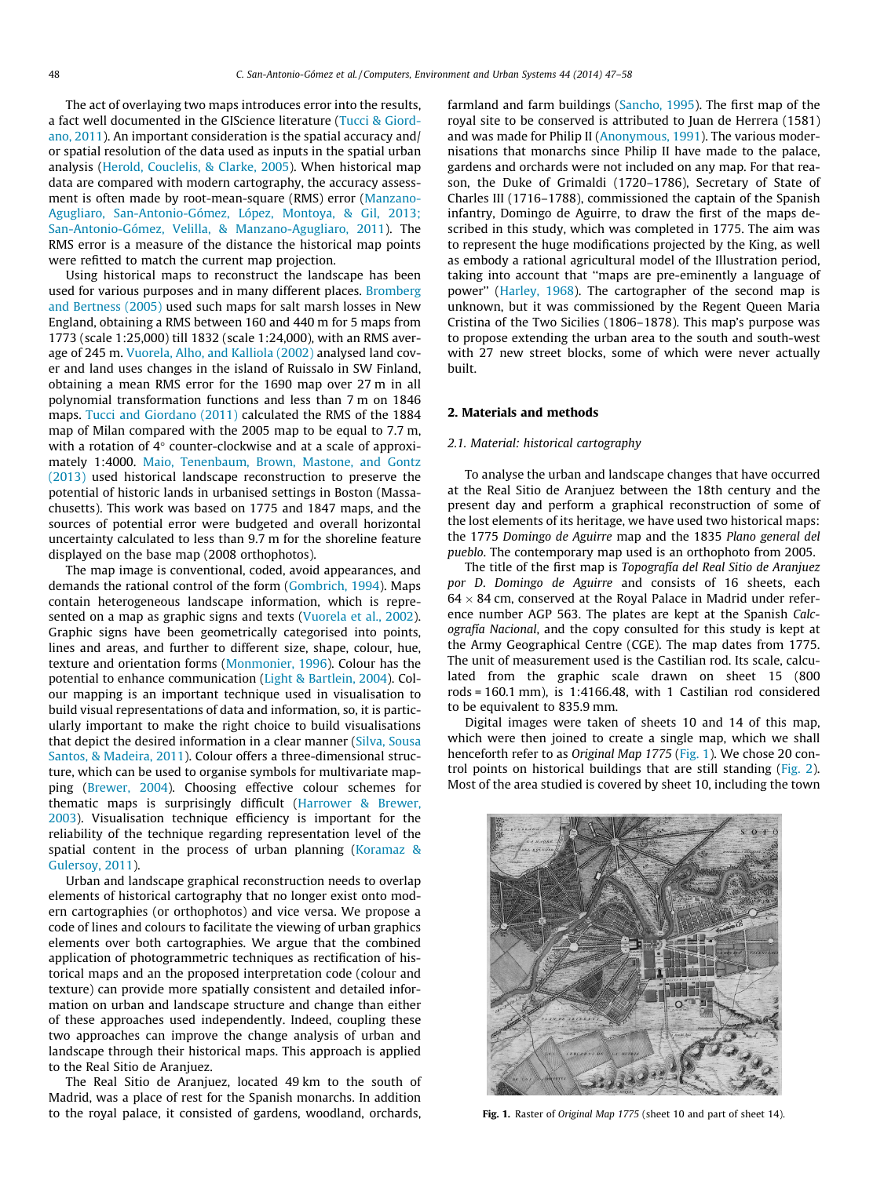The act of overlaying two maps introduces error into the results, a fact well documented in the GIScience literature ([Tucci & Giord](#page--1-0)[ano, 2011](#page--1-0)). An important consideration is the spatial accuracy and/ or spatial resolution of the data used as inputs in the spatial urban analysis [\(Herold, Couclelis, & Clarke, 2005\)](#page--1-0). When historical map data are compared with modern cartography, the accuracy assessment is often made by root-mean-square (RMS) error ([Manzano-](#page--1-0)[Agugliaro, San-Antonio-Gómez, López, Montoya, & Gil, 2013;](#page--1-0) [San-Antonio-Gómez, Velilla, & Manzano-Agugliaro, 2011](#page--1-0)). The RMS error is a measure of the distance the historical map points were refitted to match the current map projection.

Using historical maps to reconstruct the landscape has been used for various purposes and in many different places. [Bromberg](#page--1-0) [and Bertness \(2005\)](#page--1-0) used such maps for salt marsh losses in New England, obtaining a RMS between 160 and 440 m for 5 maps from 1773 (scale 1:25,000) till 1832 (scale 1:24,000), with an RMS average of 245 m. [Vuorela, Alho, and Kalliola \(2002\)](#page--1-0) analysed land cover and land uses changes in the island of Ruissalo in SW Finland, obtaining a mean RMS error for the 1690 map over 27 m in all polynomial transformation functions and less than 7 m on 1846 maps. [Tucci and Giordano \(2011\)](#page--1-0) calculated the RMS of the 1884 map of Milan compared with the 2005 map to be equal to 7.7 m, with a rotation of  $4^\circ$  counter-clockwise and at a scale of approximately 1:4000. [Maio, Tenenbaum, Brown, Mastone, and Gontz](#page--1-0) [\(2013\)](#page--1-0) used historical landscape reconstruction to preserve the potential of historic lands in urbanised settings in Boston (Massachusetts). This work was based on 1775 and 1847 maps, and the sources of potential error were budgeted and overall horizontal uncertainty calculated to less than 9.7 m for the shoreline feature displayed on the base map (2008 orthophotos).

The map image is conventional, coded, avoid appearances, and demands the rational control of the form ([Gombrich, 1994\)](#page--1-0). Maps contain heterogeneous landscape information, which is represented on a map as graphic signs and texts [\(Vuorela et al., 2002\)](#page--1-0). Graphic signs have been geometrically categorised into points, lines and areas, and further to different size, shape, colour, hue, texture and orientation forms [\(Monmonier, 1996](#page--1-0)). Colour has the potential to enhance communication [\(Light & Bartlein, 2004\)](#page--1-0). Colour mapping is an important technique used in visualisation to build visual representations of data and information, so, it is particularly important to make the right choice to build visualisations that depict the desired information in a clear manner ([Silva, Sousa](#page--1-0) [Santos, & Madeira, 2011](#page--1-0)). Colour offers a three-dimensional structure, which can be used to organise symbols for multivariate mapping ([Brewer, 2004](#page--1-0)). Choosing effective colour schemes for thematic maps is surprisingly difficult ([Harrower & Brewer,](#page--1-0) [2003\)](#page--1-0). Visualisation technique efficiency is important for the reliability of the technique regarding representation level of the spatial content in the process of urban planning ([Koramaz &](#page--1-0) [Gulersoy, 2011\)](#page--1-0).

Urban and landscape graphical reconstruction needs to overlap elements of historical cartography that no longer exist onto modern cartographies (or orthophotos) and vice versa. We propose a code of lines and colours to facilitate the viewing of urban graphics elements over both cartographies. We argue that the combined application of photogrammetric techniques as rectification of historical maps and an the proposed interpretation code (colour and texture) can provide more spatially consistent and detailed information on urban and landscape structure and change than either of these approaches used independently. Indeed, coupling these two approaches can improve the change analysis of urban and landscape through their historical maps. This approach is applied to the Real Sitio de Aranjuez.

The Real Sitio de Aranjuez, located 49 km to the south of Madrid, was a place of rest for the Spanish monarchs. In addition to the royal palace, it consisted of gardens, woodland, orchards, farmland and farm buildings ([Sancho, 1995](#page--1-0)). The first map of the royal site to be conserved is attributed to Juan de Herrera (1581) and was made for Philip II [\(Anonymous, 1991](#page--1-0)). The various modernisations that monarchs since Philip II have made to the palace, gardens and orchards were not included on any map. For that reason, the Duke of Grimaldi (1720–1786), Secretary of State of Charles III (1716–1788), commissioned the captain of the Spanish infantry, Domingo de Aguirre, to draw the first of the maps described in this study, which was completed in 1775. The aim was to represent the huge modifications projected by the King, as well as embody a rational agricultural model of the Illustration period, taking into account that ''maps are pre-eminently a language of power'' ([Harley, 1968\)](#page--1-0). The cartographer of the second map is unknown, but it was commissioned by the Regent Queen Maria Cristina of the Two Sicilies (1806–1878). This map's purpose was to propose extending the urban area to the south and south-west with 27 new street blocks, some of which were never actually built.

## 2. Materials and methods

## 2.1. Material: historical cartography

To analyse the urban and landscape changes that have occurred at the Real Sitio de Aranjuez between the 18th century and the present day and perform a graphical reconstruction of some of the lost elements of its heritage, we have used two historical maps: the 1775 Domingo de Aguirre map and the 1835 Plano general del pueblo. The contemporary map used is an orthophoto from 2005.

The title of the first map is Topografía del Real Sitio de Aranjuez por D. Domingo de Aguirre and consists of 16 sheets, each  $64 \times 84$  cm, conserved at the Royal Palace in Madrid under reference number AGP 563. The plates are kept at the Spanish Calcografía Nacional, and the copy consulted for this study is kept at the Army Geographical Centre (CGE). The map dates from 1775. The unit of measurement used is the Castilian rod. Its scale, calculated from the graphic scale drawn on sheet 15 (800 rods = 160.1 mm), is 1:4166.48, with 1 Castilian rod considered to be equivalent to 835.9 mm.

Digital images were taken of sheets 10 and 14 of this map, which were then joined to create a single map, which we shall henceforth refer to as Original Map 1775 (Fig. 1). We chose 20 control points on historical buildings that are still standing ([Fig. 2\)](#page--1-0). Most of the area studied is covered by sheet 10, including the town



Fig. 1. Raster of Original Map 1775 (sheet 10 and part of sheet 14).